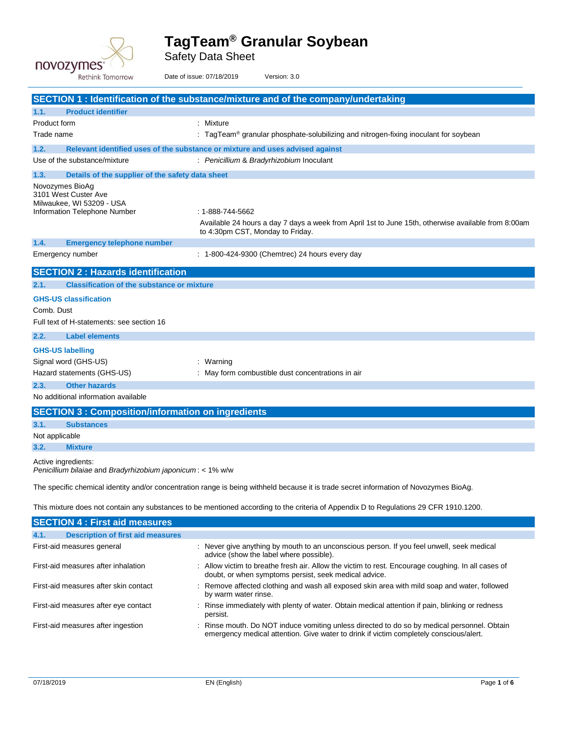

Safety Data Sheet

| Rethink Tomorrow                                                                                     | Date of issue: 07/18/2019<br>Version: 3.0                                                                                                                           |
|------------------------------------------------------------------------------------------------------|---------------------------------------------------------------------------------------------------------------------------------------------------------------------|
|                                                                                                      | SECTION 1 : Identification of the substance/mixture and of the company/undertaking                                                                                  |
| <b>Product identifier</b><br>1.1.                                                                    |                                                                                                                                                                     |
| Product form                                                                                         | : Mixture                                                                                                                                                           |
| Trade name                                                                                           | $\therefore$ TagTeam <sup>®</sup> granular phosphate-solubilizing and nitrogen-fixing inoculant for soybean                                                         |
| 1.2.                                                                                                 | Relevant identified uses of the substance or mixture and uses advised against                                                                                       |
| Use of the substance/mixture                                                                         | : Penicillium & Bradyrhizobium Inoculant                                                                                                                            |
| 1.3.<br>Details of the supplier of the safety data sheet                                             |                                                                                                                                                                     |
| Novozymes BioAg<br>3101 West Custer Ave<br>Milwaukee, WI 53209 - USA<br>Information Telephone Number | $: 1 - 888 - 744 - 5662$<br>Available 24 hours a day 7 days a week from April 1st to June 15th, otherwise available from 8:00am<br>to 4:30pm CST, Monday to Friday. |
| 1.4.<br><b>Emergency telephone number</b>                                                            |                                                                                                                                                                     |
| Emergency number                                                                                     | : 1-800-424-9300 (Chemtrec) 24 hours every day                                                                                                                      |
| <b>SECTION 2: Hazards identification</b>                                                             |                                                                                                                                                                     |
| <b>Classification of the substance or mixture</b><br>2.1.                                            |                                                                                                                                                                     |
| <b>GHS-US classification</b><br>Comb. Dust                                                           |                                                                                                                                                                     |
|                                                                                                      |                                                                                                                                                                     |
| Full text of H-statements: see section 16<br><b>Label elements</b>                                   |                                                                                                                                                                     |
| 2.2.                                                                                                 |                                                                                                                                                                     |
| <b>GHS-US labelling</b>                                                                              |                                                                                                                                                                     |
| Signal word (GHS-US)<br>Hazard statements (GHS-US)                                                   | : Warning<br>: May form combustible dust concentrations in air                                                                                                      |
|                                                                                                      |                                                                                                                                                                     |
| <b>Other hazards</b><br>2.3.<br>No additional information available                                  |                                                                                                                                                                     |
| <b>SECTION 3: Composition/information on ingredients</b>                                             |                                                                                                                                                                     |
| 3.1.<br><b>Substances</b>                                                                            |                                                                                                                                                                     |
| Not applicable                                                                                       |                                                                                                                                                                     |
| 3.2.<br><b>Mixture</b>                                                                               |                                                                                                                                                                     |
| Active ingredients:                                                                                  |                                                                                                                                                                     |
| Penicillium bilaiae and Bradyrhizobium japonicum: < 1% w/w                                           |                                                                                                                                                                     |
|                                                                                                      | The specific chemical identity and/or concentration range is being withheld because it is trade secret information of Novozymes BioAg.                              |
|                                                                                                      | This mixture does not contain any substances to be mentioned according to the criteria of Appendix D to Regulations 29 CFR 1910.1200.                               |
| <b>SECTION 4 : First aid measures</b>                                                                |                                                                                                                                                                     |
| <b>Description of first aid measures</b><br>4.1.                                                     |                                                                                                                                                                     |
| First-aid measures general                                                                           | : Never give anything by mouth to an unconscious person. If you feel unwell, seek medical<br>advice (show the label where possible).                                |
| First-aid measures after inhalation                                                                  | : Allow victim to breathe fresh air. Allow the victim to rest. Encourage coughing. In all cases of<br>doubt, or when symptoms persist, seek medical advice.         |
| First-aid measures after skin contact                                                                | : Remove affected clothing and wash all exposed skin area with mild soap and water, followed<br>by warm water rinse.                                                |
| First-aid measures after eye contact                                                                 | Rinse immediately with plenty of water. Obtain medical attention if pain, blinking or redness<br>persist.                                                           |
| First-aid measures after ingestion                                                                   | : Rinse mouth. Do NOT induce vomiting unless directed to do so by medical personnel. Obtain                                                                         |

emergency medical attention. Give water to drink if victim completely conscious/alert.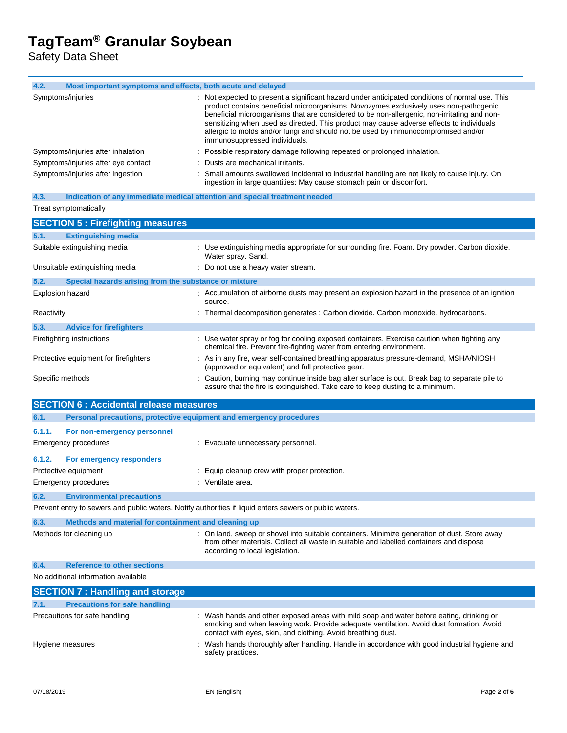Safety Data Sheet

| 4.2.<br>Most important symptoms and effects, both acute and delayed                                     |                                                                                                                                                                                          |
|---------------------------------------------------------------------------------------------------------|------------------------------------------------------------------------------------------------------------------------------------------------------------------------------------------|
| Symptoms/injuries                                                                                       | : Not expected to present a significant hazard under anticipated conditions of normal use. This<br>product contains beneficial microorganisms. Novozymes exclusively uses non-pathogenic |
|                                                                                                         | beneficial microorganisms that are considered to be non-allergenic, non-irritating and non-                                                                                              |
|                                                                                                         | sensitizing when used as directed. This product may cause adverse effects to individuals                                                                                                 |
|                                                                                                         | allergic to molds and/or fungi and should not be used by immunocompromised and/or<br>immunosuppressed individuals.                                                                       |
| Symptoms/injuries after inhalation                                                                      | Possible respiratory damage following repeated or prolonged inhalation.                                                                                                                  |
| Symptoms/injuries after eye contact                                                                     | Dusts are mechanical irritants.                                                                                                                                                          |
| Symptoms/injuries after ingestion                                                                       | : Small amounts swallowed incidental to industrial handling are not likely to cause injury. On<br>ingestion in large quantities: May cause stomach pain or discomfort.                   |
| Indication of any immediate medical attention and special treatment needed<br>4.3.                      |                                                                                                                                                                                          |
| Treat symptomatically                                                                                   |                                                                                                                                                                                          |
| <b>SECTION 5: Firefighting measures</b>                                                                 |                                                                                                                                                                                          |
| <b>Extinguishing media</b><br>5.1.                                                                      |                                                                                                                                                                                          |
| Suitable extinguishing media                                                                            | : Use extinguishing media appropriate for surrounding fire. Foam. Dry powder. Carbon dioxide.<br>Water spray. Sand.                                                                      |
| Unsuitable extinguishing media                                                                          | : Do not use a heavy water stream.                                                                                                                                                       |
| 5.2.<br>Special hazards arising from the substance or mixture                                           |                                                                                                                                                                                          |
| <b>Explosion hazard</b>                                                                                 | : Accumulation of airborne dusts may present an explosion hazard in the presence of an ignition<br>source.                                                                               |
| Reactivity                                                                                              | : Thermal decomposition generates : Carbon dioxide. Carbon monoxide. hydrocarbons.                                                                                                       |
| 5.3.<br><b>Advice for firefighters</b>                                                                  |                                                                                                                                                                                          |
| Firefighting instructions                                                                               | : Use water spray or fog for cooling exposed containers. Exercise caution when fighting any                                                                                              |
|                                                                                                         | chemical fire. Prevent fire-fighting water from entering environment.                                                                                                                    |
| Protective equipment for firefighters                                                                   | : As in any fire, wear self-contained breathing apparatus pressure-demand, MSHA/NIOSH<br>(approved or equivalent) and full protective gear.                                              |
| Specific methods                                                                                        | : Caution, burning may continue inside bag after surface is out. Break bag to separate pile to<br>assure that the fire is extinguished. Take care to keep dusting to a minimum.          |
| <b>SECTION 6 : Accidental release measures</b>                                                          |                                                                                                                                                                                          |
| Personal precautions, protective equipment and emergency procedures<br>6.1.                             |                                                                                                                                                                                          |
|                                                                                                         |                                                                                                                                                                                          |
| 6.1.1.<br>For non-emergency personnel                                                                   |                                                                                                                                                                                          |
| <b>Emergency procedures</b>                                                                             | : Evacuate unnecessary personnel.                                                                                                                                                        |
| 6.1.2.<br>For emergency responders                                                                      |                                                                                                                                                                                          |
| Protective equipment                                                                                    | : Equip cleanup crew with proper protection.                                                                                                                                             |
| <b>Emergency procedures</b>                                                                             | : Ventilate area.                                                                                                                                                                        |
| 6.2.<br><b>Environmental precautions</b>                                                                |                                                                                                                                                                                          |
| Prevent entry to sewers and public waters. Notify authorities if liquid enters sewers or public waters. |                                                                                                                                                                                          |
| 6.3.<br>Methods and material for containment and cleaning up                                            |                                                                                                                                                                                          |
| Methods for cleaning up                                                                                 | : On land, sweep or shovel into suitable containers. Minimize generation of dust. Store away                                                                                             |
|                                                                                                         | from other materials. Collect all waste in suitable and labelled containers and dispose<br>according to local legislation.                                                               |
| 6.4.<br><b>Reference to other sections</b>                                                              |                                                                                                                                                                                          |
| No additional information available                                                                     |                                                                                                                                                                                          |
| <b>SECTION 7: Handling and storage</b>                                                                  |                                                                                                                                                                                          |
| <b>Precautions for safe handling</b><br>7.1.                                                            |                                                                                                                                                                                          |
| Precautions for safe handling                                                                           | : Wash hands and other exposed areas with mild soap and water before eating, drinking or                                                                                                 |
|                                                                                                         | smoking and when leaving work. Provide adequate ventilation. Avoid dust formation. Avoid                                                                                                 |
|                                                                                                         | contact with eyes, skin, and clothing. Avoid breathing dust.                                                                                                                             |
| Hygiene measures                                                                                        | Wash hands thoroughly after handling. Handle in accordance with good industrial hygiene and<br>safety practices.                                                                         |
|                                                                                                         |                                                                                                                                                                                          |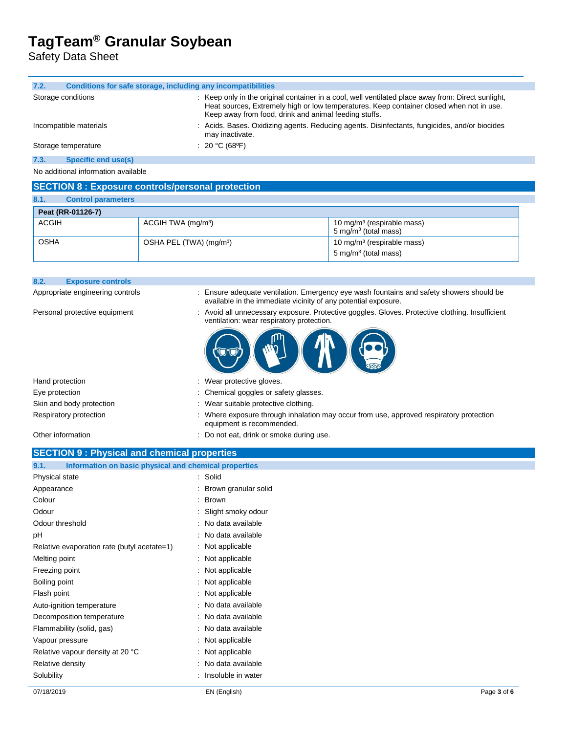Safety Data Sheet

| 7.2.<br>Conditions for safe storage, including any incompatibilities |                                                                                                                                                                                                                                                         |  |
|----------------------------------------------------------------------|---------------------------------------------------------------------------------------------------------------------------------------------------------------------------------------------------------------------------------------------------------|--|
| Storage conditions                                                   | : Keep only in the original container in a cool, well ventilated place away from: Direct sunlight,<br>Heat sources, Extremely high or low temperatures. Keep container closed when not in use.<br>Keep away from food, drink and animal feeding stuffs. |  |
| Incompatible materials                                               | : Acids. Bases. Oxidizing agents. Reducing agents. Disinfectants, fungicides, and/or biocides<br>may inactivate.                                                                                                                                        |  |
| Storage temperature                                                  | : 20 °C (68 °F)                                                                                                                                                                                                                                         |  |
| Specific end use(s)<br>7.3.                                          |                                                                                                                                                                                                                                                         |  |
| No additional information available                                  |                                                                                                                                                                                                                                                         |  |

### **SECTION 8 : Exposure controls/personal protection**

| 8.1.         | <b>Control parameters</b> |                                     |                                                                   |
|--------------|---------------------------|-------------------------------------|-------------------------------------------------------------------|
|              | Peat (RR-01126-7)         |                                     |                                                                   |
| <b>ACGIH</b> |                           | ACGIH TWA (mg/m <sup>3</sup> )      | 10 mg/m <sup>3</sup> (respirable mass)<br>5 mg/m $3$ (total mass) |
| <b>OSHA</b>  |                           | OSHA PEL (TWA) (mg/m <sup>3</sup> ) | 10 mg/m <sup>3</sup> (respirable mass)                            |
|              |                           |                                     | 5 mg/m $3$ (total mass)                                           |

| <b>OSHA</b> | OSHA PEL (TWA) (mg/m <sup>3</sup> ) | 10 mg/m <sup>3</sup> (respirable mass)<br>5 mg/m <sup>3</sup> (total mass) |
|-------------|-------------------------------------|----------------------------------------------------------------------------|
|             |                                     |                                                                            |

Appropriate engineering controls : Ensure adequate ventilation. Emergency eye wash fountains and safety showers should be

Personal protective equipment : Avoid all unnecessary exposure. Protective goggles. Gloves. Protective clothing. Insufficient ventilation: wear respiratory protection.

available in the immediate vicinity of any potential exposure.

| Hand protection          | : Wear protective gloves.                                                                                            |
|--------------------------|----------------------------------------------------------------------------------------------------------------------|
| Eye protection           | : Chemical goggles or safety glasses.                                                                                |
| Skin and body protection | : Wear suitable protective clothing.                                                                                 |
| Respiratory protection   | : Where exposure through inhalation may occur from use, approved respiratory protection<br>equipment is recommended. |

**8.2. Exposure controls**

Other information **Other information** : Do not eat, drink or smoke during use.

#### **SECTION 9 : Physical and chemical properties**

| Information on basic physical and chemical properties<br>9.1. |  |                        |
|---------------------------------------------------------------|--|------------------------|
| Physical state                                                |  | : Solid                |
| Appearance                                                    |  | : Brown granular solid |
|                                                               |  | : Brown                |
|                                                               |  | : Slight smoky odour   |
| Odour threshold                                               |  | : No data available    |
|                                                               |  | : No data available    |
| Relative evaporation rate (butyl acetate=1)                   |  | : Not applicable       |
| Melting point                                                 |  | : Not applicable       |
| Freezing point                                                |  | : Not applicable       |
| Boiling point                                                 |  | : Not applicable       |
| Flash point                                                   |  | : Not applicable       |
| Auto-ignition temperature                                     |  | : No data available    |
| Decomposition temperature                                     |  | : No data available    |
| Flammability (solid, gas)                                     |  | : No data available    |
| Vapour pressure                                               |  | : Not applicable       |
| Relative vapour density at 20 °C                              |  | : Not applicable       |
| Relative density                                              |  | : No data available    |
| Solubility                                                    |  | : Insoluble in water   |
|                                                               |  |                        |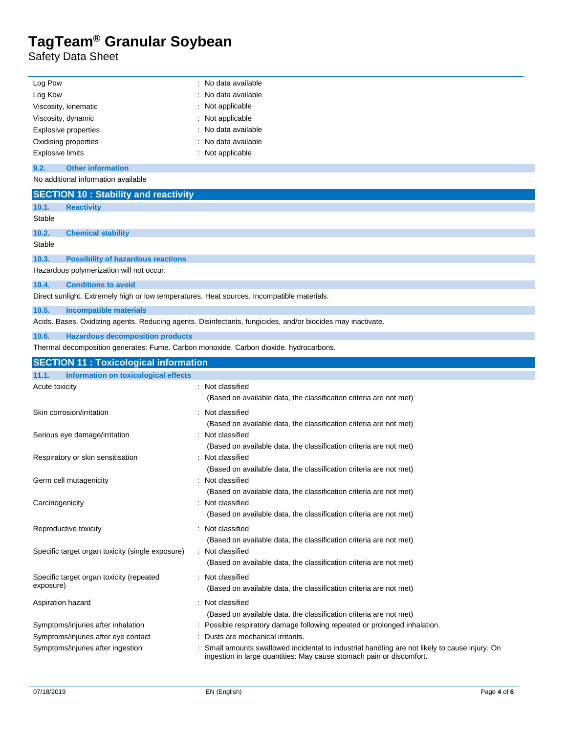Safety Data Sheet

 $\overline{a}$ 

| Log Pow                                                                                    | : No data available                                                                                                                                                  |  |  |  |
|--------------------------------------------------------------------------------------------|----------------------------------------------------------------------------------------------------------------------------------------------------------------------|--|--|--|
| Log Kow                                                                                    | No data available                                                                                                                                                    |  |  |  |
| Viscosity, kinematic                                                                       | Not applicable                                                                                                                                                       |  |  |  |
| Viscosity, dynamic                                                                         | Not applicable                                                                                                                                                       |  |  |  |
| <b>Explosive properties</b>                                                                | No data available                                                                                                                                                    |  |  |  |
| Oxidising properties                                                                       | No data available                                                                                                                                                    |  |  |  |
| <b>Explosive limits</b><br>Not applicable                                                  |                                                                                                                                                                      |  |  |  |
| 9.2.<br><b>Other information</b>                                                           |                                                                                                                                                                      |  |  |  |
| No additional information available                                                        |                                                                                                                                                                      |  |  |  |
| <b>SECTION 10: Stability and reactivity</b>                                                |                                                                                                                                                                      |  |  |  |
| 10.1.<br><b>Reactivity</b>                                                                 |                                                                                                                                                                      |  |  |  |
| Stable                                                                                     |                                                                                                                                                                      |  |  |  |
| 10.2.<br><b>Chemical stability</b>                                                         |                                                                                                                                                                      |  |  |  |
| Stable                                                                                     |                                                                                                                                                                      |  |  |  |
| 10.3.<br><b>Possibility of hazardous reactions</b>                                         |                                                                                                                                                                      |  |  |  |
| Hazardous polymerization will not occur.                                                   |                                                                                                                                                                      |  |  |  |
| 10.4.<br><b>Conditions to avoid</b>                                                        |                                                                                                                                                                      |  |  |  |
| Direct sunlight. Extremely high or low temperatures. Heat sources. Incompatible materials. |                                                                                                                                                                      |  |  |  |
| 10.5.<br>Incompatible materials                                                            |                                                                                                                                                                      |  |  |  |
|                                                                                            | Acids. Bases. Oxidizing agents. Reducing agents. Disinfectants, fungicides, and/or biocides may inactivate.                                                          |  |  |  |
| 10.6.<br><b>Hazardous decomposition products</b>                                           |                                                                                                                                                                      |  |  |  |
| Thermal decomposition generates: Fume. Carbon monoxide. Carbon dioxide. hydrocarbons.      |                                                                                                                                                                      |  |  |  |
| <b>SECTION 11 : Toxicological information</b>                                              |                                                                                                                                                                      |  |  |  |
|                                                                                            |                                                                                                                                                                      |  |  |  |
| <b>Information on toxicological effects</b><br>11.1.                                       |                                                                                                                                                                      |  |  |  |
| Acute toxicity                                                                             | : Not classified                                                                                                                                                     |  |  |  |
|                                                                                            | (Based on available data, the classification criteria are not met)                                                                                                   |  |  |  |
| Skin corrosion/irritation                                                                  | : Not classified                                                                                                                                                     |  |  |  |
|                                                                                            | (Based on available data, the classification criteria are not met)                                                                                                   |  |  |  |
| Serious eye damage/irritation                                                              | : Not classified                                                                                                                                                     |  |  |  |
|                                                                                            | (Based on available data, the classification criteria are not met)                                                                                                   |  |  |  |
| Respiratory or skin sensitisation                                                          | : Not classified                                                                                                                                                     |  |  |  |
|                                                                                            | (Based on available data, the classification criteria are not met)                                                                                                   |  |  |  |
| Germ cell mutagenicity                                                                     | : Not classified                                                                                                                                                     |  |  |  |
|                                                                                            | (Based on available data, the classification criteria are not met)                                                                                                   |  |  |  |
| Carcinogenicity                                                                            | : Not classified                                                                                                                                                     |  |  |  |
|                                                                                            | (Based on available data, the classification criteria are not met)                                                                                                   |  |  |  |
| Reproductive toxicity                                                                      | : Not classified                                                                                                                                                     |  |  |  |
|                                                                                            | (Based on available data, the classification criteria are not met)                                                                                                   |  |  |  |
| Specific target organ toxicity (single exposure)                                           | : Not classified                                                                                                                                                     |  |  |  |
|                                                                                            | (Based on available data, the classification criteria are not met)                                                                                                   |  |  |  |
| Specific target organ toxicity (repeated                                                   | : Not classified                                                                                                                                                     |  |  |  |
| exposure)                                                                                  | (Based on available data, the classification criteria are not met)                                                                                                   |  |  |  |
|                                                                                            | : Not classified                                                                                                                                                     |  |  |  |
| Aspiration hazard                                                                          |                                                                                                                                                                      |  |  |  |
| Symptoms/injuries after inhalation                                                         | (Based on available data, the classification criteria are not met)<br>: Possible respiratory damage following repeated or prolonged inhalation.                      |  |  |  |
| Symptoms/injuries after eye contact                                                        | Dusts are mechanical irritants.                                                                                                                                      |  |  |  |
| Symptoms/injuries after ingestion                                                          | Small amounts swallowed incidental to industrial handling are not likely to cause injury. On<br>ingestion in large quantities: May cause stomach pain or discomfort. |  |  |  |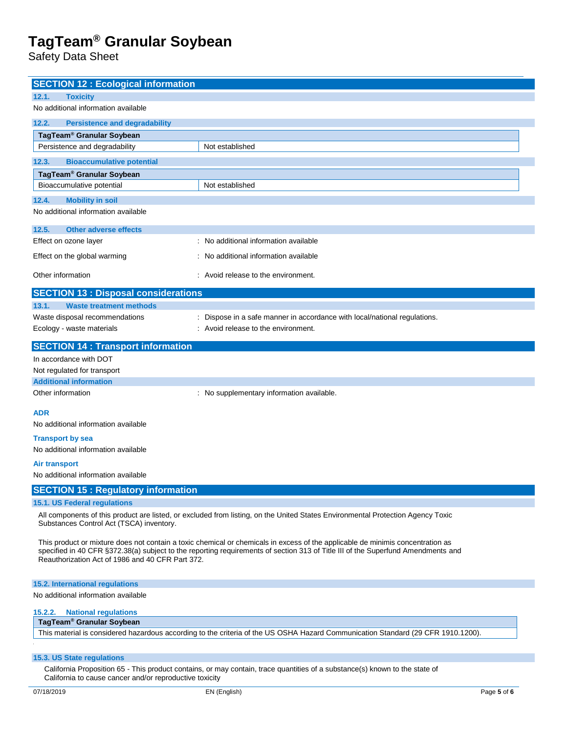Safety Data Sheet

| <b>SECTION 12 : Ecological information</b>                                                                                                                                                                                                                                                                             |                                                                                                                             |  |
|------------------------------------------------------------------------------------------------------------------------------------------------------------------------------------------------------------------------------------------------------------------------------------------------------------------------|-----------------------------------------------------------------------------------------------------------------------------|--|
| <b>Toxicity</b><br>12.1.                                                                                                                                                                                                                                                                                               |                                                                                                                             |  |
| No additional information available                                                                                                                                                                                                                                                                                    |                                                                                                                             |  |
| 12.2.<br><b>Persistence and degradability</b>                                                                                                                                                                                                                                                                          |                                                                                                                             |  |
| TagTeam <sup>®</sup> Granular Soybean                                                                                                                                                                                                                                                                                  |                                                                                                                             |  |
| Persistence and degradability                                                                                                                                                                                                                                                                                          | Not established                                                                                                             |  |
| <b>Bioaccumulative potential</b><br>12.3.                                                                                                                                                                                                                                                                              |                                                                                                                             |  |
| TagTeam <sup>®</sup> Granular Soybean                                                                                                                                                                                                                                                                                  |                                                                                                                             |  |
| Bioaccumulative potential                                                                                                                                                                                                                                                                                              | Not established                                                                                                             |  |
| <b>Mobility in soil</b><br>12.4.                                                                                                                                                                                                                                                                                       |                                                                                                                             |  |
| No additional information available                                                                                                                                                                                                                                                                                    |                                                                                                                             |  |
| 12.5.<br><b>Other adverse effects</b>                                                                                                                                                                                                                                                                                  |                                                                                                                             |  |
| Effect on ozone layer                                                                                                                                                                                                                                                                                                  | : No additional information available                                                                                       |  |
| Effect on the global warming                                                                                                                                                                                                                                                                                           | : No additional information available                                                                                       |  |
| Other information                                                                                                                                                                                                                                                                                                      | : Avoid release to the environment.                                                                                         |  |
|                                                                                                                                                                                                                                                                                                                        |                                                                                                                             |  |
| <b>SECTION 13 : Disposal considerations</b>                                                                                                                                                                                                                                                                            |                                                                                                                             |  |
| 13.1.<br><b>Waste treatment methods</b>                                                                                                                                                                                                                                                                                |                                                                                                                             |  |
| Waste disposal recommendations<br>Ecology - waste materials                                                                                                                                                                                                                                                            | : Dispose in a safe manner in accordance with local/national regulations.<br>: Avoid release to the environment.            |  |
|                                                                                                                                                                                                                                                                                                                        |                                                                                                                             |  |
| <b>SECTION 14 : Transport information</b>                                                                                                                                                                                                                                                                              |                                                                                                                             |  |
| In accordance with DOT                                                                                                                                                                                                                                                                                                 |                                                                                                                             |  |
| Not regulated for transport<br><b>Additional information</b>                                                                                                                                                                                                                                                           |                                                                                                                             |  |
| Other information                                                                                                                                                                                                                                                                                                      | : No supplementary information available.                                                                                   |  |
|                                                                                                                                                                                                                                                                                                                        |                                                                                                                             |  |
| <b>ADR</b>                                                                                                                                                                                                                                                                                                             |                                                                                                                             |  |
| No additional information available                                                                                                                                                                                                                                                                                    |                                                                                                                             |  |
| <b>Transport by sea</b><br>No additional information available                                                                                                                                                                                                                                                         |                                                                                                                             |  |
| <b>Air transport</b>                                                                                                                                                                                                                                                                                                   |                                                                                                                             |  |
| No additional information available                                                                                                                                                                                                                                                                                    |                                                                                                                             |  |
| <b>SECTION 15: Regulatory information</b>                                                                                                                                                                                                                                                                              |                                                                                                                             |  |
| 15.1. US Federal regulations                                                                                                                                                                                                                                                                                           |                                                                                                                             |  |
| All components of this product are listed, or excluded from listing, on the United States Environmental Protection Agency Toxic<br>Substances Control Act (TSCA) inventory.                                                                                                                                            |                                                                                                                             |  |
| This product or mixture does not contain a toxic chemical or chemicals in excess of the applicable de minimis concentration as<br>specified in 40 CFR §372.38(a) subject to the reporting requirements of section 313 of Title III of the Superfund Amendments and<br>Reauthorization Act of 1986 and 40 CFR Part 372. |                                                                                                                             |  |
| 15.2. International regulations                                                                                                                                                                                                                                                                                        |                                                                                                                             |  |
| No additional information available                                                                                                                                                                                                                                                                                    |                                                                                                                             |  |
| 15.2.2.<br><b>National regulations</b>                                                                                                                                                                                                                                                                                 |                                                                                                                             |  |
| TagTeam <sup>®</sup> Granular Soybean                                                                                                                                                                                                                                                                                  |                                                                                                                             |  |
| This material is considered hazardous according to the criteria of the US OSHA Hazard Communication Standard (29 CFR 1910.1200).                                                                                                                                                                                       |                                                                                                                             |  |
| 15.3. US State regulations                                                                                                                                                                                                                                                                                             |                                                                                                                             |  |
|                                                                                                                                                                                                                                                                                                                        | California Proposition 65 - This product contains, or may contain, trace quantities of a substance(s) known to the state of |  |
| California to cause cancer and/or reproductive toxicity                                                                                                                                                                                                                                                                |                                                                                                                             |  |